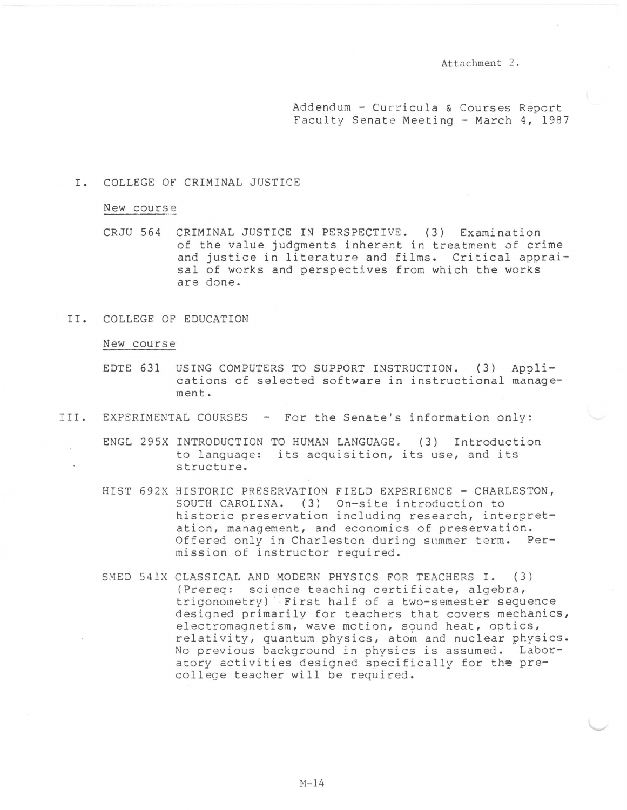Attachment  $2$ .

Addendum - Curricula & Courses Report Faculty Senate Meeting - March 4, 1987

## I. COLLEGE OF CRIMINAL JUSTICE

## New course

CRJU 564 CRIMINAL JUSTICE IN PERSPECTIVE. ( 3) Exami nation of the value judgments inherent in treatment of crime and justice in literature and films. Critical appraisal of works and perspectives from which the works are done.

## II. COLLEGE OF EDUCATION

## New course

- EDTE 631 USING COMPUTERS TO SUPPORT INSTRUCTION. (3) Applications of selected software in instructional management.
- III. EXPERIMENTAL COURSES For the Senate's information only:
	- ENGL 295X INTRODUCTION TO HUMAN LANGUAGE. (3) Introduction to language: its acquisition, its use, and its structure.
	- HIST 692X HISTORIC PRESERVATION FIELD EXPERIENCE CHARLESTON, SOUTH CAROLINA. (3) On-site introduction to historic preservation including research, interpretation, management, and economics of preservation. Offered only in Charleston during summer term. Permission of instructor required.
	- SMED 541X CLASSICAL AND MODERN PHYSICS FOR TEACHERS I. (3) (Prereq: science teaching certificate, algebra, trigonometry) First half of a two-semester sequence designed primarily for teachers that covers mechanics, electromagnetism, wave motion, sound heat, optics, relativity, quantum physics, atom and nuclear physics. No previous background in physics is assumed. Laboratory activities designed specifically for the precollege teacher will be required.